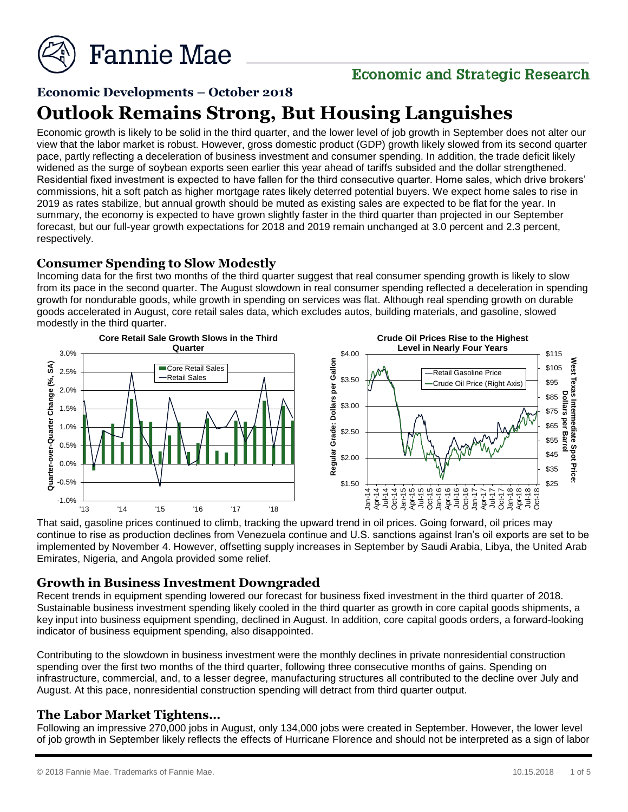

### **Economic and Strategic Research**

#### **Economic Developments – October 2018**

## **Outlook Remains Strong, But Housing Languishes**

Economic growth is likely to be solid in the third quarter, and the lower level of job growth in September does not alter our view that the labor market is robust. However, gross domestic product (GDP) growth likely slowed from its second quarter pace, partly reflecting a deceleration of business investment and consumer spending. In addition, the trade deficit likely widened as the surge of soybean exports seen earlier this year ahead of tariffs subsided and the dollar strengthened. Residential fixed investment is expected to have fallen for the third consecutive quarter. Home sales, which drive brokers' commissions, hit a soft patch as higher mortgage rates likely deterred potential buyers. We expect home sales to rise in 2019 as rates stabilize, but annual growth should be muted as existing sales are expected to be flat for the year. In summary, the economy is expected to have grown slightly faster in the third quarter than projected in our September forecast, but our full-year growth expectations for 2018 and 2019 remain unchanged at 3.0 percent and 2.3 percent, respectively.

#### **Consumer Spending to Slow Modestly**

Incoming data for the first two months of the third quarter suggest that real consumer spending growth is likely to slow from its pace in the second quarter. The August slowdown in real consumer spending reflected a deceleration in spending growth for nondurable goods, while growth in spending on services was flat. Although real spending growth on durable goods accelerated in August, core retail sales data, which excludes autos, building materials, and gasoline, slowed modestly in the third quarter.



That said, gasoline prices continued to climb, tracking the upward trend in oil prices. Going forward, oil prices may continue to rise as production declines from Venezuela continue and U.S. sanctions against Iran's oil exports are set to be implemented by November 4. However, offsetting supply increases in September by Saudi Arabia, Libya, the United Arab Emirates, Nigeria, and Angola provided some relief.

#### **Growth in Business Investment Downgraded**

Recent trends in equipment spending lowered our forecast for business fixed investment in the third quarter of 2018. Sustainable business investment spending likely cooled in the third quarter as growth in core capital goods shipments, a key input into business equipment spending, declined in August. In addition, core capital goods orders, a forward-looking indicator of business equipment spending, also disappointed.

Contributing to the slowdown in business investment were the monthly declines in private nonresidential construction spending over the first two months of the third quarter, following three consecutive months of gains. Spending on infrastructure, commercial, and, to a lesser degree, manufacturing structures all contributed to the decline over July and August. At this pace, nonresidential construction spending will detract from third quarter output.

#### **The Labor Market Tightens…**

Following an impressive 270,000 jobs in August, only 134,000 jobs were created in September. However, the lower level of job growth in September likely reflects the effects of Hurricane Florence and should not be interpreted as a sign of labor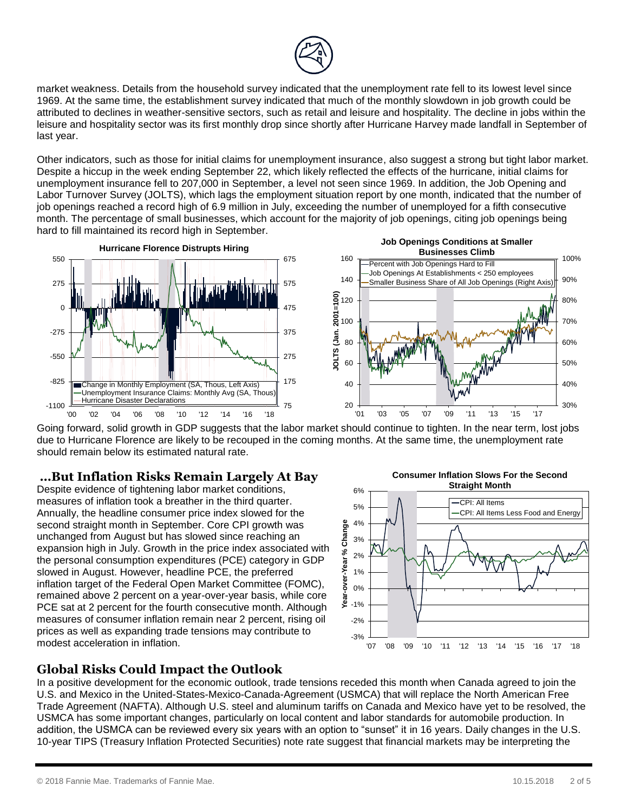

market weakness. Details from the household survey indicated that the unemployment rate fell to its lowest level since 1969. At the same time, the establishment survey indicated that much of the monthly slowdown in job growth could be attributed to declines in weather-sensitive sectors, such as retail and leisure and hospitality. The decline in jobs within the leisure and hospitality sector was its first monthly drop since shortly after Hurricane Harvey made landfall in September of last year.

Other indicators, such as those for initial claims for unemployment insurance, also suggest a strong but tight labor market. Despite a hiccup in the week ending September 22, which likely reflected the effects of the hurricane, initial claims for unemployment insurance fell to 207,000 in September, a level not seen since 1969. In addition, the Job Opening and Labor Turnover Survey (JOLTS), which lags the employment situation report by one month, indicated that the number of job openings reached a record high of 6.9 million in July, exceeding the number of unemployed for a fifth consecutive month. The percentage of small businesses, which account for the majority of job openings, citing job openings being hard to fill maintained its record high in September.



Going forward, solid growth in GDP suggests that the labor market should continue to tighten. In the near term, lost jobs due to Hurricane Florence are likely to be recouped in the coming months. At the same time, the unemployment rate should remain below its estimated natural rate.

#### **…But Inflation Risks Remain Largely At Bay**

Despite evidence of tightening labor market conditions, measures of inflation took a breather in the third quarter. Annually, the headline consumer price index slowed for the second straight month in September. Core CPI growth was unchanged from August but has slowed since reaching an expansion high in July. Growth in the price index associated with the personal consumption expenditures (PCE) category in GDP slowed in August. However, headline PCE, the preferred inflation target of the Federal Open Market Committee (FOMC), remained above 2 percent on a year-over-year basis, while core PCE sat at 2 percent for the fourth consecutive month. Although measures of consumer inflation remain near 2 percent, rising oil prices as well as expanding trade tensions may contribute to modest acceleration in inflation.







In a positive development for the economic outlook, trade tensions receded this month when Canada agreed to join the U.S. and Mexico in the United-States-Mexico-Canada-Agreement (USMCA) that will replace the North American Free Trade Agreement (NAFTA). Although U.S. steel and aluminum tariffs on Canada and Mexico have yet to be resolved, the USMCA has some important changes, particularly on local content and labor standards for automobile production. In addition, the USMCA can be reviewed every six years with an option to "sunset" it in 16 years. Daily changes in the U.S. 10-year TIPS (Treasury Inflation Protected Securities) note rate suggest that financial markets may be interpreting the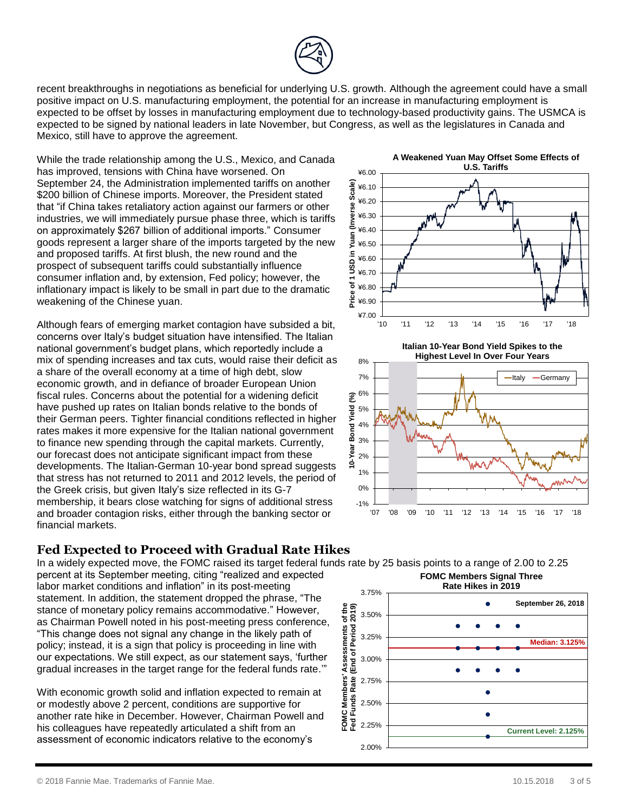

recent breakthroughs in negotiations as beneficial for underlying U.S. growth. Although the agreement could have a small positive impact on U.S. manufacturing employment, the potential for an increase in manufacturing employment is expected to be offset by losses in manufacturing employment due to technology-based productivity gains. The USMCA is expected to be signed by national leaders in late November, but Congress, as well as the legislatures in Canada and Mexico, still have to approve the agreement.

While the trade relationship among the U.S., Mexico, and Canada has improved, tensions with China have worsened. On September 24, the Administration implemented tariffs on another \$200 billion of Chinese imports. Moreover, the President stated that "if China takes retaliatory action against our farmers or other industries, we will immediately pursue phase three, which is tariffs on approximately \$267 billion of additional imports." Consumer goods represent a larger share of the imports targeted by the new and proposed tariffs. At first blush, the new round and the prospect of subsequent tariffs could substantially influence consumer inflation and, by extension, Fed policy; however, the inflationary impact is likely to be small in part due to the dramatic weakening of the Chinese yuan.

Although fears of emerging market contagion have subsided a bit, concerns over Italy's budget situation have intensified. The Italian national government's budget plans, which reportedly include a mix of spending increases and tax cuts, would raise their deficit as a share of the overall economy at a time of high debt, slow economic growth, and in defiance of broader European Union fiscal rules. Concerns about the potential for a widening deficit have pushed up rates on Italian bonds relative to the bonds of their German peers. Tighter financial conditions reflected in higher rates makes it more expensive for the Italian national government to finance new spending through the capital markets. Currently, our forecast does not anticipate significant impact from these developments. The Italian-German 10-year bond spread suggests that stress has not returned to 2011 and 2012 levels, the period of the Greek crisis, but given Italy's size reflected in its G-7 membership, it bears close watching for signs of additional stress and broader contagion risks, either through the banking sector or financial markets.

#### ¥6.00 ¥6.10 ¥6.20 ¥6.30 ¥6.40 ¥6.50 ¥6.60 ¥6.70 ¥6.80 ¥6.90 ¥7.00 -10 Price of Action Contract of Action Contract of Action Contract of Action Contract of Action Contract of Action Contract of Action Contract of Action Contract of Action Contract of Action Contract of Action Contract of

**A Weakened Yuan May Offset Some Effects of U.S. Tariffs**





#### **Fed Expected to Proceed with Gradual Rate Hikes**

In a widely expected move, the FOMC raised its target federal funds rate by 25 basis points to a range of 2.00 to 2.25

percent at its September meeting, citing "realized and expected labor market conditions and inflation" in its post-meeting statement. In addition, the statement dropped the phrase, "The stance of monetary policy remains accommodative." However, as Chairman Powell noted in his post-meeting press conference, "This change does not signal any change in the likely path of policy; instead, it is a sign that policy is proceeding in line with our expectations. We still expect, as our statement says, 'further gradual increases in the target range for the federal funds rate.'"

With economic growth solid and inflation expected to remain at or modestly above 2 percent, conditions are supportive for another rate hike in December. However, Chairman Powell and his colleagues have repeatedly articulated a shift from an assessment of economic indicators relative to the economy's

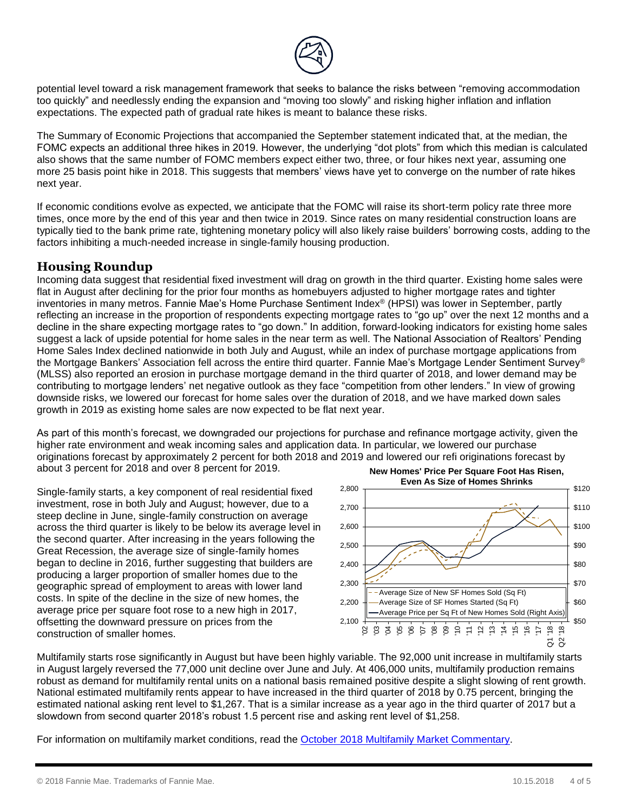

potential level toward a risk management framework that seeks to balance the risks between "removing accommodation too quickly" and needlessly ending the expansion and "moving too slowly" and risking higher inflation and inflation expectations. The expected path of gradual rate hikes is meant to balance these risks.

The Summary of Economic Projections that accompanied the September statement indicated that, at the median, the FOMC expects an additional three hikes in 2019. However, the underlying "dot plots" from which this median is calculated also shows that the same number of FOMC members expect either two, three, or four hikes next year, assuming one more 25 basis point hike in 2018. This suggests that members' views have yet to converge on the number of rate hikes next year.

If economic conditions evolve as expected, we anticipate that the FOMC will raise its short-term policy rate three more times, once more by the end of this year and then twice in 2019. Since rates on many residential construction loans are typically tied to the bank prime rate, tightening monetary policy will also likely raise builders' borrowing costs, adding to the factors inhibiting a much-needed increase in single-family housing production.

#### **Housing Roundup**

Incoming data suggest that residential fixed investment will drag on growth in the third quarter. Existing home sales were flat in August after declining for the prior four months as homebuyers adjusted to higher mortgage rates and tighter inventories in many metros. Fannie Mae's Home Purchase Sentiment Index® (HPSI) was lower in September, partly reflecting an increase in the proportion of respondents expecting mortgage rates to "go up" over the next 12 months and a decline in the share expecting mortgage rates to "go down." In addition, forward-looking indicators for existing home sales suggest a lack of upside potential for home sales in the near term as well. The National Association of Realtors' Pending Home Sales Index declined nationwide in both July and August, while an index of purchase mortgage applications from the Mortgage Bankers' Association fell across the entire third quarter. Fannie Mae's Mortgage Lender Sentiment Survey® (MLSS) also reported an erosion in purchase mortgage demand in the third quarter of 2018, and lower demand may be contributing to mortgage lenders' net negative outlook as they face "competition from other lenders." In view of growing downside risks, we lowered our forecast for home sales over the duration of 2018, and we have marked down sales growth in 2019 as existing home sales are now expected to be flat next year.

As part of this month's forecast, we downgraded our projections for purchase and refinance mortgage activity, given the higher rate environment and weak incoming sales and application data. In particular, we lowered our purchase originations forecast by approximately 2 percent for both 2018 and 2019 and lowered our refi originations forecast by about 3 percent for 2018 and over 8 percent for 2019.

Single-family starts, a key component of real residential fixed investment, rose in both July and August; however, due to a steep decline in June, single-family construction on average across the third quarter is likely to be below its average level in the second quarter. After increasing in the years following the Great Recession, the average size of single-family homes began to decline in 2016, further suggesting that builders are producing a larger proportion of smaller homes due to the geographic spread of employment to areas with lower land costs. In spite of the decline in the size of new homes, the average price per square foot rose to a new high in 2017, offsetting the downward pressure on prices from the construction of smaller homes.



Multifamily starts rose significantly in August but have been highly variable. The 92,000 unit increase in multifamily starts in August largely reversed the 77,000 unit decline over June and July. At 406,000 units, multifamily production remains robust as demand for multifamily rental units on a national basis remained positive despite a slight slowing of rent growth. National estimated multifamily rents appear to have increased in the third quarter of 2018 by 0.75 percent, bringing the estimated national asking rent level to \$1,267. That is a similar increase as a year ago in the third quarter of 2017 but a slowdown from second quarter 2018's robust 1.5 percent rise and asking rent level of \$1,258.

For information on multifamily market conditions, read the [October 2018 Multifamily Market Commentary.](http://www.fanniemae.com/resources/file/research/emma/pdf/MF_Market_Commentary_101818.pdf)